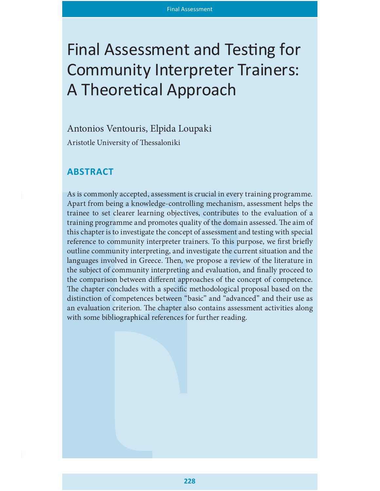# Final Assessment and Testing for Community Interpreter Trainers: A Theoretical Approach

## Antonios Ventouris, Elpida Loupaki

Aristotle University of Thessaloniki

## **ABSTRACT**

As is commonly accepted, assessment is crucial in every training programme. Apart from being a knowledge-controlling mechanism, assessment helps the trainee to set clearer learning objectives, contributes to the evaluation of a training programme and promotes quality of the domain assessed. The aim of this chapter is to investigate the concept of assessment and testing with special reference to community interpreter trainers. To this purpose, we first briefly outline community interpreting, and investigate the current situation and the languages involved in Greece. Then, we propose a review of the literature in the subject of community interpreting and evaluation, and finally proceed to the comparison between different approaches of the concept of competence. The chapter concludes with a specific methodological proposal based on the distinction of competences between "basic" and "advanced" and their use as an evaluation criterion. The chapter also contains assessment activities along with some bibliographical references for further reading.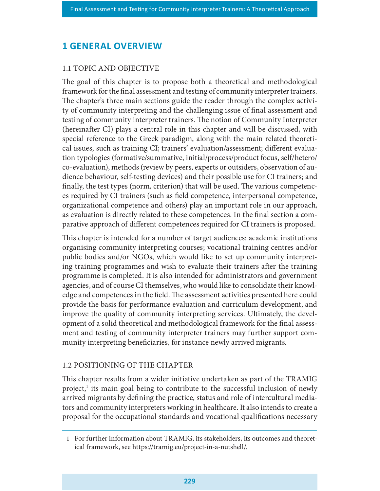## **1 GENERAL OVERVIEW**

#### 1.1 TOPIC AND OBJECTIVE

The goal of this chapter is to propose both a theoretical and methodological framework for the final assessment and testing of community interpreter trainers. The chapter's three main sections guide the reader through the complex activity of community interpreting and the challenging issue of final assessment and testing of community interpreter trainers. The notion of Community Interpreter (hereinafter CI) plays a central role in this chapter and will be discussed, with special reference to the Greek paradigm, along with the main related theoretical issues, such as training CI; trainers' evaluation/assessment; different evaluation typologies (formative/summative, initial/process/product focus, self/hetero/ co-evaluation), methods (review by peers, experts or outsiders, observation of audience behaviour, self-testing devices) and their possible use for CI trainers; and finally, the test types (norm, criterion) that will be used. The various competences required by CI trainers (such as field competence, interpersonal competence, organizational competence and others) play an important role in our approach, as evaluation is directly related to these competences. In the final section a comparative approach of different competences required for CI trainers is proposed.

This chapter is intended for a number of target audiences: academic institutions organising community interpreting courses; vocational training centres and/or public bodies and/or NGOs, which would like to set up community interpreting training programmes and wish to evaluate their trainers after the training programme is completed. It is also intended for administrators and government agencies, and of course CI themselves, who would like to consolidate their knowledge and competences in the field. The assessment activities presented here could provide the basis for performance evaluation and curriculum development, and improve the quality of community interpreting services. Ultimately, the development of a solid theoretical and methodological framework for the final assessment and testing of community interpreter trainers may further support community interpreting beneficiaries, for instance newly arrived migrants.

#### 1.2 POSITIONING OF THE CHAPTER

This chapter results from a wider initiative undertaken as part of the TRAMIG project,<sup>1</sup> its main goal being to contribute to the successful inclusion of newly arrived migrants by defining the practice, status and role of intercultural mediators and community interpreters working in healthcare. It also intends to create a proposal for the occupational standards and vocational qualifications necessary

<sup>1</sup> For further information about TRAMIG, its stakeholders, its outcomes and theoretical framework, see https://tramig.eu/project-in-a-nutshell/.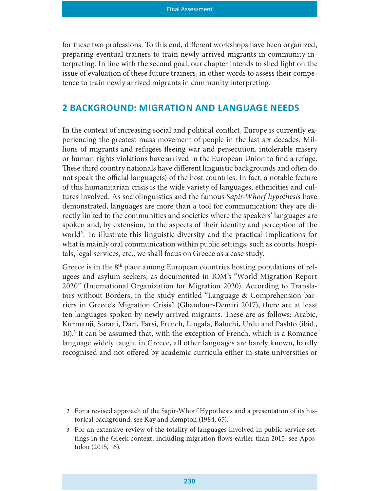for these two professions. To this end, different workshops have been organized, preparing eventual trainers to train newly arrived migrants in community interpreting. In line with the second goal, our chapter intends to shed light on the issue of evaluation of these future trainers, in other words to assess their competence to train newly arrived migrants in community interpreting.

#### 2 BACKGROUND: MIGRATION AND LANGUAGE NEEDS

In the context of increasing social and political conflict, Europe is currently experiencing the greatest mass movement of people in the last six decades. Millions of migrants and refugees fleeing war and persecution, intolerable misery or human rights violations have arrived in the European Union to find a refuge. These third country nationals have different linguistic backgrounds and often do not speak the official language(s) of the host countries. In fact, a notable feature of this humanitarian crisis is the wide variety of languages, ethnicities and cultures involved. As sociolinguistics and the famous Sapir-Whorf hypothesis have demonstrated, languages are more than a tool for communication; they are directly linked to the communities and societies where the speakers' languages are spoken and, by extension, to the aspects of their identity and perception of the world<sup>2</sup>. To illustrate this linguistic diversity and the practical implications for what is mainly oral communication within public settings, such as courts, hospitals, legal services, etc., we shall focus on Greece as a case study.

Greece is in the 8<sup>th</sup> place among European countries hosting populations of refugees and asylum seekers, as documented in IOM's "World Migration Report 2020" (International Organization for Migration 2020). According to Translators without Borders, in the study entitled "Language & Comprehension barriers in Greece's Migration Crisis" (Ghandour-Demiri 2017), there are at least ten languages spoken by newly arrived migrants. These are as follows: Arabic, Kurmanji, Sorani, Dari, Farsi, French, Lingala, Baluchi, Urdu and Pashto (ibid., 10).3 It can be assumed that, with the exception of French, which is a Romance language widely taught in Greece, all other languages are barely known, hardly recognised and not offered by academic curricula either in state universities or

<sup>2</sup> For a revised approach of the Sapir-Whorf Hypothesis and a presentation of its historical background, see Kay and Kempton (1984, 65).

<sup>3</sup> For an extensive review of the totality of languages involved in public service settings in the Greek context, including migration flows earlier than 2015, see Apostolou (2015, 16).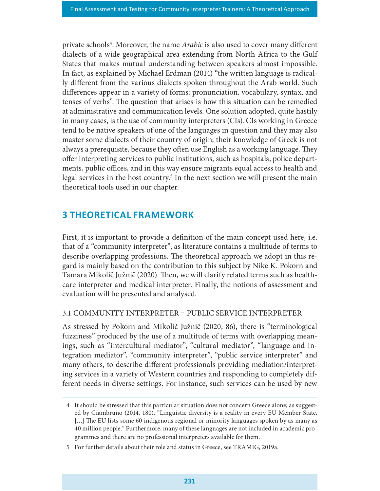private schools<sup>4</sup>. Moreover, the name *Arabic* is also used to cover many different dialects of a wide geographical area extending from North Africa to the Gulf States that makes mutual understanding between speakers almost impossible. In fact, as explained by Michael Erdman (2014) "the written language is radically different from the various dialects spoken throughout the Arab world. Such differences appear in a variety of forms: pronunciation, vocabulary, syntax, and tenses of verbs". The question that arises is how this situation can be remedied at administrative and communication levels. One solution adopted, quite hastily in many cases, is the use of community interpreters (CIs). CIs working in Greece tend to be native speakers of one of the languages in question and they may also master some dialects of their country of origin; their knowledge of Greek is not always a prerequisite, because they often use English as a working language. They offer interpreting services to public institutions, such as hospitals, police departments, public offices, and in this way ensure migrants equal access to health and legal services in the host country.<sup>5</sup> In the next section we will present the main theoretical tools used in our chapter.

## 3 THEORETICAL FRAMEWORK

First, it is important to provide a definition of the main concept used here, i.e. that of a "community interpreter", as literature contains a multitude of terms to describe overlapping professions. The theoretical approach we adopt in this regard is mainly based on the contribution to this subject by Nike K. Pokorn and Tamara Mikolič Južnič (2020). Then, we will clarify related terms such as healthcare interpreter and medical interpreter. Finally, the notions of assessment and evaluation will be presented and analysed.

#### 3.1 COMMUNITY INTERPRETER PUBLIC SERVICE INTERPRETER

As stressed by Pokorn and Mikolič Južnič (2020, 86), there is "terminological fuzziness" produced by the use of a multitude of terms with overlapping meanings, such as "intercultural mediator", "cultural mediator", "language and integration mediator", "community interpreter", "public service interpreter" and many others, to describe different professionals providing mediation/interpreting services in a variety of Western countries and responding to completely different needs in diverse settings. For instance, such services can be used by new

<sup>4</sup> It should be stressed that this particular situation does not concern Greece alone; as suggested by Giambruno (2014, 180), "Linguistic diversity is a reality in every EU Member State.  $\left[ \ldots \right]$  The EU lists some 60 indigenous regional or minority languages spoken by as many as 40 million people." Furthermore, many of these languages are not included in academic programmes and there are no professional interpreters available for them.

<sup>5</sup> For further details about their role and status in Greece, see TRAMIG, 2019a.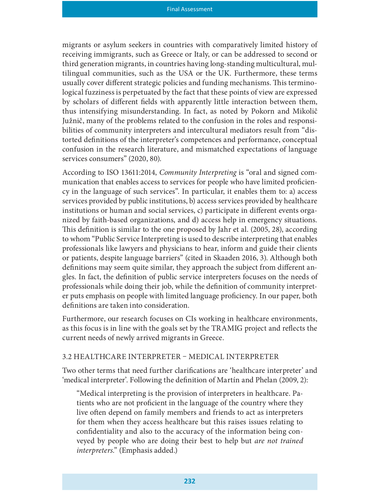migrants or asylum seekers in countries with comparatively limited history of receiving immigrants, such as Greece or Italy, or can be addressed to second or third generation migrants, in countries having long-standing multicultural, multilingual communities, such as the USA or the UK. Furthermore, these terms usually cover different strategic policies and funding mechanisms. This terminological fuzziness is perpetuated by the fact that these points of view are expressed by scholars of different fields with apparently little interaction between them, thus intensifying misunderstanding. In fact, as noted by Pokorn and Mikolič Južnič, many of the problems related to the confusion in the roles and responsibilities of community interpreters and intercultural mediators result from "distorted definitions of the interpreter's competences and performance, conceptual confusion in the research literature, and mismatched expectations of language services consumers" (2020, 80).

According to ISO 13611:2014, Community Interpreting is "oral and signed communication that enables access to services for people who have limited proficiency in the language of such services". In particular, it enables them to: a) access services provided by public institutions, b) access services provided by healthcare institutions or human and social services,  $c$ ) participate in different events organized by faith-based organizations, and d) access help in emergency situations. This definition is similar to the one proposed by Jahr et al.  $(2005, 28)$ , according to whom "Public Service Interpreting is used to describe interpreting that enables professionals like lawyers and physicians to hear, inform and guide their clients or patients, despite language barriers" (cited in Skaaden 2016, 3). Although both definitions may seem quite similar, they approach the subject from different angles. In fact, the definition of public service interpreters focuses on the needs of professionals while doing their job, while the definition of community interpreter puts emphasis on people with limited language proficiency. In our paper, both definitions are taken into consideration.

Furthermore, our research focuses on CIs working in healthcare environments, as this focus is in line with the goals set by the TRAMIG project and reflects the current needs of newly arrived migrants in Greece.

#### 3.2 HEALTHCARE INTERPRETER MEDICAL INTERPRETER

Two other terms that need further clarifications are 'healthcare interpreter' and 'medical interpreter'. Following the definition of Martín and Phelan (2009, 2):

"Medical interpreting is the provision of interpreters in healthcare. Patients who are not proficient in the language of the country where they live often depend on family members and friends to act as interpreters for them when they access healthcare but this raises issues relating to confidentiality and also to the accuracy of the information being conveyed by people who are doing their best to help but are not trained interpreters." (Emphasis added.)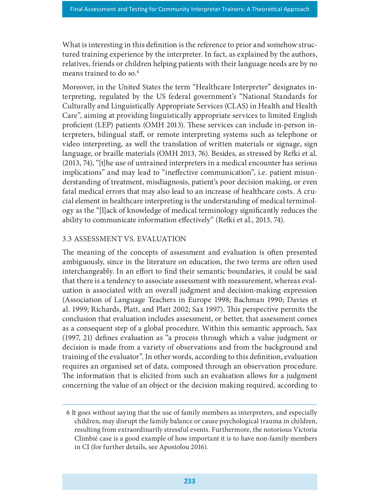What is interesting in this definition is the reference to prior and somehow structured training experience by the interpreter. In fact, as explained by the authors, relatives, friends or children helping patients with their language needs are by no means trained to do so.<sup>6</sup>

Moreover, in the United States the term "Healthcare Interpreter" designates interpreting, regulated by the US federal government's "National Standards for Culturally and Linguistically Appropriate Services (CLAS) in Health and Health Care", aiming at providing linguistically appropriate services to limited English proficient (LEP) patients (OMH 2013). These services can include in-person interpreters, bilingual staff, or remote interpreting systems such as telephone or video interpreting, as well the translation of written materials or signage, sign language, or braille materials (OMH 2013, 76). Besides, as stressed by Refki et al. (2013, 74), "[t]he use of untrained interpreters in a medical encounter has serious implications" and may lead to "ineffective communication", i.e. patient misunderstanding of treatment, misdiagnosis, patient's poor decision making, or even fatal medical errors that may also lead to an increase of healthcare costs. A crucial element in healthcare interpreting is the understanding of medical terminology as the "[l]ack of knowledge of medical terminology signicantly reduces the ability to communicate information effectively" (Refki et al., 2013, 74).

#### 3.3 ASSESSMENT VS. EVALUATION

The meaning of the concepts of assessment and evaluation is often presented ambiguously, since in the literature on education, the two terms are often used interchangeably. In an effort to find their semantic boundaries, it could be said that there is a tendency to associate assessment with measurement, whereas evaluation is associated with an overall judgment and decision-making expression (Association of Language Teachers in Europe 1998; Bachman 1990; Davies et al. 1999; Richards, Platt, and Platt 2002; Sax 1997). This perspective permits the conclusion that evaluation includes assessment, or better, that assessment comes as a consequent step of a global procedure. Within this semantic approach, Sax (1997, 21) defines evaluation as "a process through which a value judgment or decision is made from a variety of observations and from the background and training of the evaluator". In other words, according to this definition, evaluation requires an organised set of data, composed through an observation procedure. The information that is elicited from such an evaluation allows for a judgment concerning the value of an object or the decision making required, according to

<sup>6</sup> It goes without saying that the use of family members as interpreters, and especially children, may disrupt the family balance or cause psychological trauma in children, resulting from extraordinarily stressful events. Furthermore, the notorious Victoria Climbié case is a good example of how important it is to have non-family members in CI (for further details, see Apostolou 2016).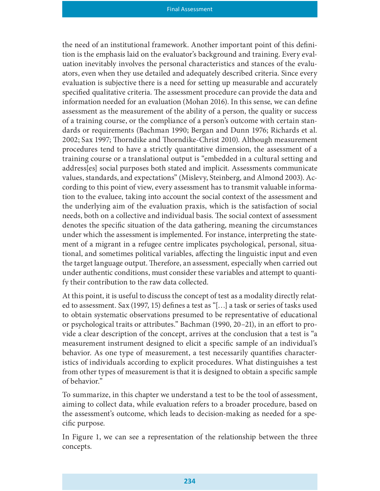the need of an institutional framework. Another important point of this definition is the emphasis laid on the evaluator's background and training. Every evaluation inevitably involves the personal characteristics and stances of the evaluators, even when they use detailed and adequately described criteria. Since every evaluation is subjective there is a need for setting up measurable and accurately specified qualitative criteria. The assessment procedure can provide the data and information needed for an evaluation (Mohan 2016). In this sense, we can define assessment as the measurement of the ability of a person, the quality or success of a training course, or the compliance of a person's outcome with certain standards or requirements (Bachman 1990; Bergan and Dunn 1976; Richards et al. 2002; Sax 1997; Thorndike and Thorndike-Christ 2010). Although measurement procedures tend to have a strictly quantitative dimension, the assessment of a training course or a translational output is "embedded in a cultural setting and address[es] social purposes both stated and implicit. Assessments communicate values, standards, and expectations" (Mislevy, Steinberg, and Almond 2003). According to this point of view, every assessment has to transmit valuable information to the evaluee, taking into account the social context of the assessment and the underlying aim of the evaluation praxis, which is the satisfaction of social needs, both on a collective and individual basis. The social context of assessment denotes the specific situation of the data gathering, meaning the circumstances under which the assessment is implemented. For instance, interpreting the statement of a migrant in a refugee centre implicates psychological, personal, situational, and sometimes political variables, affecting the linguistic input and even the target language output. Therefore, an assessment, especially when carried out under authentic conditions, must consider these variables and attempt to quantify their contribution to the raw data collected.

At this point, it is useful to discuss the concept of test as a modality directly related to assessment. Sax (1997, 15) defines a test as "[...] a task or series of tasks used to obtain systematic observations presumed to be representative of educational or psychological traits or attributes." Bachman (1990, 20–21), in an effort to provide a clear description of the concept, arrives at the conclusion that a test is "a measurement instrument designed to elicit a specific sample of an individual's behavior. As one type of measurement, a test necessarily quantifies characteristics of individuals according to explicit procedures. What distinguishes a test from other types of measurement is that it is designed to obtain a specific sample of behavior."

To summarize, in this chapter we understand a test to be the tool of assessment, aiming to collect data, while evaluation refers to a broader procedure, based on the assessment's outcome, which leads to decision-making as needed for a specific purpose.

In Figure 1, we can see a representation of the relationship between the three concepts.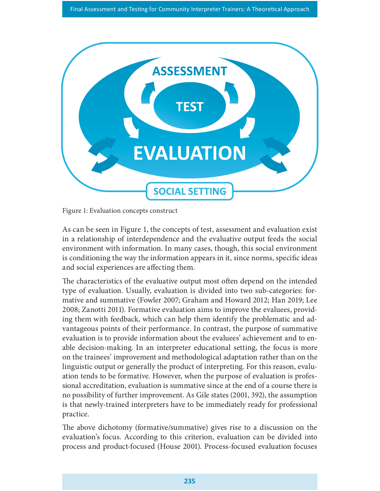

Figure 1: Evaluation concepts construct

As can be seen in Figure 1, the concepts of test, assessment and evaluation exist in a relationship of interdependence and the evaluative output feeds the social environment with information. In many cases, though, this social environment is conditioning the way the information appears in it, since norms, specific ideas and social experiences are affecting them.

The characteristics of the evaluative output most often depend on the intended type of evaluation. Usually, evaluation is divided into two sub-categories: formative and summative (Fowler 2007; Graham and Howard 2012; Han 2019; Lee 2008; Zanotti 2011). Formative evaluation aims to improve the evaluees, providing them with feedback, which can help them identify the problematic and advantageous points of their performance. In contrast, the purpose of summative evaluation is to provide information about the evaluees' achievement and to enable decision-making. In an interpreter educational setting, the focus is more on the trainees' improvement and methodological adaptation rather than on the linguistic output or generally the product of interpreting. For this reason, evaluation tends to be formative. However, when the purpose of evaluation is professional accreditation, evaluation is summative since at the end of a course there is no possibility of further improvement. As Gile states (2001, 392), the assumption is that newly-trained interpreters have to be immediately ready for professional practice.

The above dichotomy (formative/summative) gives rise to a discussion on the evaluation's focus. According to this criterion, evaluation can be divided into process and product-focused (House 2001). Process-focused evaluation focuses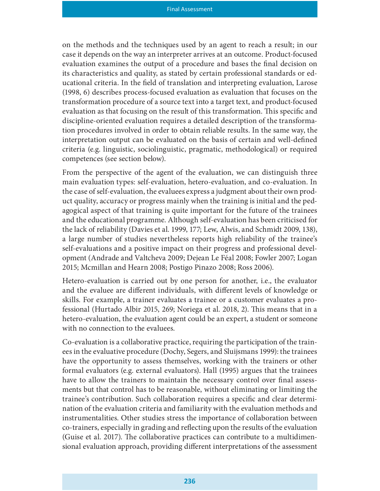on the methods and the techniques used by an agent to reach a result; in our case it depends on the way an interpreter arrives at an outcome. Product-focused evaluation examines the output of a procedure and bases the final decision on its characteristics and quality, as stated by certain professional standards or educational criteria. In the field of translation and interpreting evaluation, Larose (1998, 6) describes process-focused evaluation as evaluation that focuses on the transformation procedure of a source text into a target text, and product-focused evaluation as that focusing on the result of this transformation. This specific and discipline-oriented evaluation requires a detailed description of the transformation procedures involved in order to obtain reliable results. In the same way, the interpretation output can be evaluated on the basis of certain and well-defined criteria (e.g. linguistic, sociolinguistic, pragmatic, methodological) or required competences (see section below).

From the perspective of the agent of the evaluation, we can distinguish three main evaluation types: self-evaluation, hetero-evaluation, and co-evaluation. In the case of self-evaluation, the evaluees express a judgment about their own product quality, accuracy or progress mainly when the training is initial and the pedagogical aspect of that training is quite important for the future of the trainees and the educational programme. Although self-evaluation has been criticised for the lack of reliability (Davies et al. 1999, 177; Lew, Alwis, and Schmidt 2009, 138), a large number of studies nevertheless reports high reliability of the trainee's self-evaluations and a positive impact on their progress and professional development (Andrade and Valtcheva 2009; Dejean Le Féal 2008; Fowler 2007; Logan 2015; Mcmillan and Hearn 2008; Postigo Pinazo 2008; Ross 2006).

Hetero-evaluation is carried out by one person for another, i.e., the evaluator and the evaluee are different individuals, with different levels of knowledge or skills. For example, a trainer evaluates a trainee or a customer evaluates a professional (Hurtado Albir 2015, 269; Noriega et al. 2018, 2). This means that in a hetero-evaluation, the evaluation agent could be an expert, a student or someone with no connection to the evaluees.

Co-evaluation is a collaborative practice, requiring the participation of the trainees in the evaluative procedure (Dochy, Segers, and Sluijsmans 1999): the trainees have the opportunity to assess themselves, working with the trainers or other formal evaluators (e.g. external evaluators). Hall (1995) argues that the trainees have to allow the trainers to maintain the necessary control over final assessments but that control has to be reasonable, without eliminating or limiting the trainee's contribution. Such collaboration requires a specific and clear determination of the evaluation criteria and familiarity with the evaluation methods and instrumentalities. Other studies stress the importance of collaboration between co-trainers, especially in grading and reflecting upon the results of the evaluation (Guise et al. 2017). The collaborative practices can contribute to a multidimensional evaluation approach, providing different interpretations of the assessment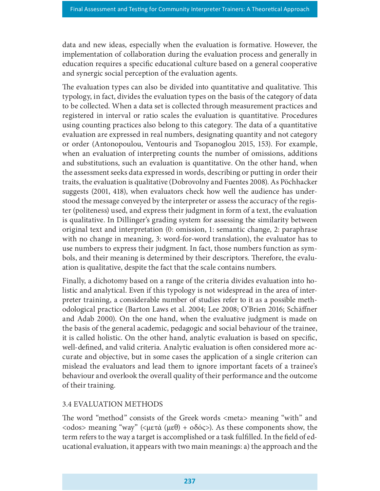data and new ideas, especially when the evaluation is formative. However, the implementation of collaboration during the evaluation process and generally in education requires a specific educational culture based on a general cooperative and synergic social perception of the evaluation agents.

The evaluation types can also be divided into quantitative and qualitative. This typology, in fact, divides the evaluation types on the basis of the category of data to be collected. When a data set is collected through measurement practices and registered in interval or ratio scales the evaluation is quantitative. Procedures using counting practices also belong to this category. The data of a quantitative evaluation are expressed in real numbers, designating quantity and not category or order (Antonopoulou, Ventouris and Tsopanoglou 2015, 153). For example, when an evaluation of interpreting counts the number of omissions, additions and substitutions, such an evaluation is quantitative. On the other hand, when the assessment seeks data expressed in words, describing or putting in order their traits, the evaluation is qualitative (Dobrovolny and Fuentes 2008). As Pöchhacker suggests (2001, 418), when evaluators check how well the audience has understood the message conveyed by the interpreter or assess the accuracy of the register (politeness) used, and express their judgment in form of a text, the evaluation is qualitative. In Dillinger's grading system for assessing the similarity between original text and interpretation (0: omission, 1: semantic change, 2: paraphrase with no change in meaning, 3: word-for-word translation), the evaluator has to use numbers to express their judgment. In fact, those numbers function as symbols, and their meaning is determined by their descriptors. Therefore, the evaluation is qualitative, despite the fact that the scale contains numbers.

Finally, a dichotomy based on a range of the criteria divides evaluation into holistic and analytical. Even if this typology is not widespread in the area of interpreter training, a considerable number of studies refer to it as a possible methodological practice (Barton Laws et al. 2004; Lee 2008; O'Brien 2016; Schäner and Adab 2000). On the one hand, when the evaluative judgment is made on the basis of the general academic, pedagogic and social behaviour of the trainee, it is called holistic. On the other hand, analytic evaluation is based on specific, well-defined, and valid criteria. Analytic evaluation is often considered more accurate and objective, but in some cases the application of a single criterion can mislead the evaluators and lead them to ignore important facets of a trainee's behaviour and overlook the overall quality of their performance and the outcome of their training.

#### 3.4 EVALUATION METHODS

The word "method" consists of the Greek words <meta> meaning "with" and  $\langle \text{odos} \rangle$  meaning "way"  $(\langle \text{u} \varepsilon \phi \rangle + \delta \delta \phi \langle \cdot \rangle)$ . As these components show, the term refers to the way a target is accomplished or a task fulfilled. In the field of educational evaluation, it appears with two main meanings: a) the approach and the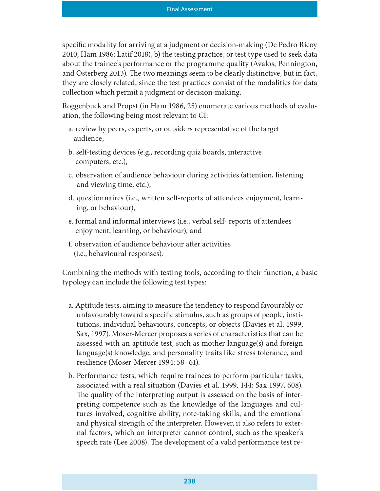specific modality for arriving at a judgment or decision-making (De Pedro Ricoy 2010; Ham 1986; Latif 2018), b) the testing practice, or test type used to seek data about the trainee's performance or the programme quality (Avalos, Pennington, and Osterberg 2013). The two meanings seem to be clearly distinctive, but in fact, they are closely related, since the test practices consist of the modalities for data collection which permit a judgment or decision-making.

Roggenbuck and Propst (in Ham 1986, 25) enumerate various methods of evaluation, the following being most relevant to CI:

- a. review by peers, experts, or outsiders representative of the target audience,
- b. self-testing devices (e.g., recording quiz boards, interactive computers, etc.),
- c. observation of audience behaviour during activities (attention, listening and viewing time, etc.),
- d. questionnaires (i.e., written self-reports of attendees enjoyment, learning, or behaviour),
- e. formal and informal interviews (i.e., verbal self- reports of attendees enjoyment, learning, or behaviour), and
- f. observation of audience behaviour after activities (i.e., behavioural responses).

Combining the methods with testing tools, according to their function, a basic typology can include the following test types:

- a. Aptitude tests, aiming to measure the tendency to respond favourably or unfavourably toward a specific stimulus, such as groups of people, institutions, individual behaviours, concepts, or objects (Davies et al. 1999; Sax, 1997). Moser-Mercer proposes a series of characteristics that can be assessed with an aptitude test, such as mother language(s) and foreign language(s) knowledge, and personality traits like stress tolerance, and resilience (Moser-Mercer 1994: 58–61).
- b. Performance tests, which require trainees to perform particular tasks, associated with a real situation (Davies et al. 1999, 144; Sax 1997, 608). The quality of the interpreting output is assessed on the basis of interpreting competence such as the knowledge of the languages and cultures involved, cognitive ability, note-taking skills, and the emotional and physical strength of the interpreter. However, it also refers to external factors, which an interpreter cannot control, such as the speaker's speech rate (Lee 2008). The development of a valid performance test re-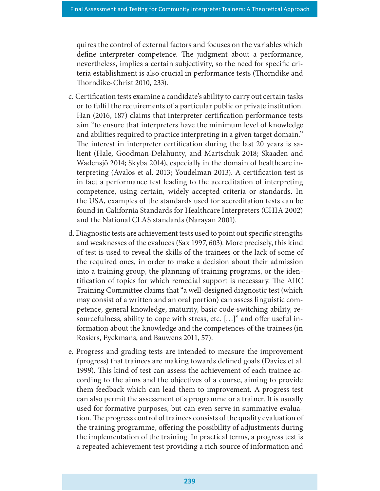quires the control of external factors and focuses on the variables which define interpreter competence. The judgment about a performance, nevertheless, implies a certain subjectivity, so the need for specific criteria establishment is also crucial in performance tests (Thorndike and Thorndike-Christ 2010, 233).

- c. Certification tests examine a candidate's ability to carry out certain tasks or to fulfil the requirements of a particular public or private institution. Han (2016, 187) claims that interpreter certification performance tests aim "to ensure that interpreters have the minimum level of knowledge and abilities required to practice interpreting in a given target domain." The interest in interpreter certification during the last 20 years is salient (Hale, Goodman-Delahunty, and Martschuk 2018; Skaaden and Wadensjö 2014; Skyba 2014), especially in the domain of healthcare interpreting (Avalos et al. 2013; Youdelman 2013). A certification test is in fact a performance test leading to the accreditation of interpreting competence, using certain, widely accepted criteria or standards. In the USA, examples of the standards used for accreditation tests can be found in California Standards for Healthcare Interpreters (CHIA 2002) and the National CLAS standards (Narayan 2001).
- d. Diagnostic tests are achievement tests used to point out specific strengths and weaknesses of the evaluees (Sax 1997, 603). More precisely, this kind of test is used to reveal the skills of the trainees or the lack of some of the required ones, in order to make a decision about their admission into a training group, the planning of training programs, or the identification of topics for which remedial support is necessary. The AIIC Training Committee claims that "a well-designed diagnostic test (which may consist of a written and an oral portion) can assess linguistic competence, general knowledge, maturity, basic code-switching ability, resourcefulness, ability to cope with stress, etc. [...]" and offer useful information about the knowledge and the competences of the trainees (in Rosiers, Eyckmans, and Bauwens 2011, 57).
- e. Progress and grading tests are intended to measure the improvement (progress) that trainees are making towards defined goals (Davies et al. 1999). This kind of test can assess the achievement of each trainee according to the aims and the objectives of a course, aiming to provide them feedback which can lead them to improvement. A progress test can also permit the assessment of a programme or a trainer. It is usually used for formative purposes, but can even serve in summative evaluation. The progress control of trainees consists of the quality evaluation of the training programme, offering the possibility of adjustments during the implementation of the training. In practical terms, a progress test is a repeated achievement test providing a rich source of information and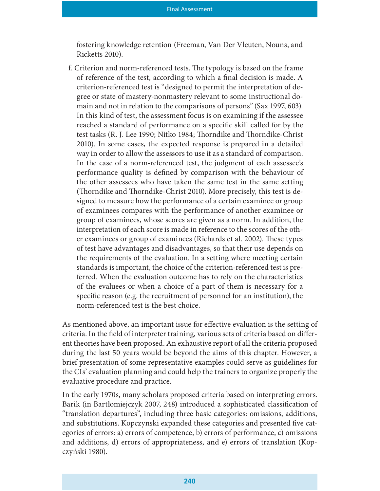fostering knowledge retention (Freeman, Van Der Vleuten, Nouns, and Ricketts 2010).

f. Criterion and norm-referenced tests. The typology is based on the frame of reference of the test, according to which a final decision is made. A criterion-referenced test is "designed to permit the interpretation of degree or state of mastery-nonmastery relevant to some instructional domain and not in relation to the comparisons of persons" (Sax 1997, 603). In this kind of test, the assessment focus is on examining if the assessee reached a standard of performance on a specific skill called for by the test tasks (R. J. Lee 1990; Nitko 1984; Thorndike and Thorndike-Christ 2010). In some cases, the expected response is prepared in a detailed way in order to allow the assessors to use it as a standard of comparison. In the case of a norm-referenced test, the judgment of each assessee's performance quality is defined by comparison with the behaviour of the other assessees who have taken the same test in the same setting (Thorndike and Thorndike-Christ 2010). More precisely, this test is designed to measure how the performance of a certain examinee or group of examinees compares with the performance of another examinee or group of examinees, whose scores are given as a norm. In addition, the interpretation of each score is made in reference to the scores of the other examinees or group of examinees (Richards et al. 2002). These types of test have advantages and disadvantages, so that their use depends on the requirements of the evaluation. In a setting where meeting certain standards is important, the choice of the criterion-referenced test is preferred. When the evaluation outcome has to rely on the characteristics of the evaluees or when a choice of a part of them is necessary for a specific reason (e.g. the recruitment of personnel for an institution), the norm-referenced test is the best choice.

As mentioned above, an important issue for effective evaluation is the setting of criteria. In the field of interpreter training, various sets of criteria based on different theories have been proposed. An exhaustive report of all the criteria proposed during the last 50 years would be beyond the aims of this chapter. However, a brief presentation of some representative examples could serve as guidelines for the CIs' evaluation planning and could help the trainers to organize properly the evaluative procedure and practice.

In the early 1970s, many scholars proposed criteria based on interpreting errors. Barik (in Bartłomiejczyk 2007, 248) introduced a sophisticated classification of "translation departures", including three basic categories: omissions, additions, and substitutions. Kopczynski expanded these categories and presented five categories of errors: a) errors of competence, b) errors of performance, c) omissions and additions, d) errors of appropriateness, and e) errors of translation (Kopczyński 1980).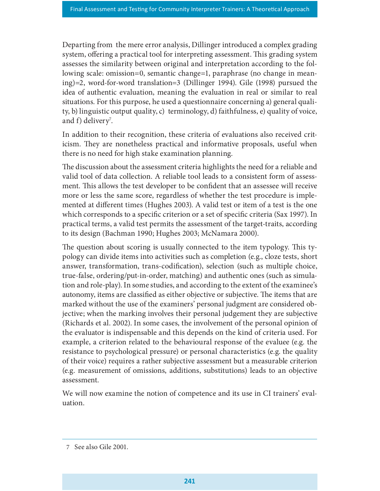Departing from the mere error analysis, Dillinger introduced a complex grading system, offering a practical tool for interpreting assessment. This grading system assesses the similarity between original and interpretation according to the following scale: omission=0, semantic change=1, paraphrase (no change in meaning)=2, word-for-word translation=3 (Dillinger 1994). Gile (1998) pursued the idea of authentic evaluation, meaning the evaluation in real or similar to real situations. For this purpose, he used a questionnaire concerning a) general quality, b) linguistic output quality, c) terminology, d) faithfulness, e) quality of voice, and f) delivery<sup>7</sup>. .

In addition to their recognition, these criteria of evaluations also received criticism. They are nonetheless practical and informative proposals, useful when there is no need for high stake examination planning.

The discussion about the assessment criteria highlights the need for a reliable and valid tool of data collection. A reliable tool leads to a consistent form of assessment. This allows the test developer to be confident that an assessee will receive more or less the same score, regardless of whether the test procedure is implemented at different times (Hughes 2003). A valid test or item of a test is the one which corresponds to a specific criterion or a set of specific criteria (Sax 1997). In practical terms, a valid test permits the assessment of the target-traits, according to its design (Bachman 1990; Hughes 2003; McNamara 2000).

The question about scoring is usually connected to the item typology. This typology can divide items into activities such as completion (e.g., cloze tests, short answer, transformation, trans-codification), selection (such as multiple choice, true-false, ordering/put-in-order, matching) and authentic ones (such as simulation and role-play). In some studies, and according to the extent of the examinee's autonomy, items are classified as either objective or subjective. The items that are marked without the use of the examiners' personal judgment are considered objective; when the marking involves their personal judgement they are subjective (Richards et al. 2002). In some cases, the involvement of the personal opinion of the evaluator is indispensable and this depends on the kind of criteria used. For example, a criterion related to the behavioural response of the evaluee (e.g. the resistance to psychological pressure) or personal characteristics (e.g. the quality of their voice) requires a rather subjective assessment but a measurable criterion (e.g. measurement of omissions, additions, substitutions) leads to an objective assessment.

We will now examine the notion of competence and its use in CI trainers' evaluation.

<sup>7</sup> See also Gile 2001.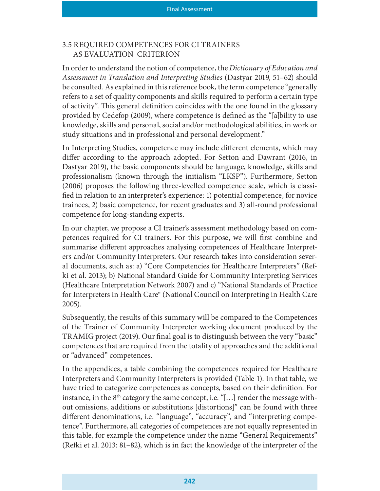#### 3.5 REQUIRED COMPETENCES FOR CI TRAINERS AS EVALUATION CRITERION

In order to understand the notion of competence, the Dictionary of Education and Assessment in Translation and Interpreting Studies (Dastyar 2019, 51–62) should be consulted. As explained in this reference book, the term competence "generally refers to a set of quality components and skills required to perform a certain type of activity". This general definition coincides with the one found in the glossary provided by Cedefop (2009), where competence is defined as the "[a]bility to use knowledge, skills and personal, social and/or methodological abilities, in work or study situations and in professional and personal development."

In Interpreting Studies, competence may include different elements, which may differ according to the approach adopted. For Setton and Dawrant (2016, in Dastyar 2019), the basic components should be language, knowledge, skills and professionalism (known through the initialism "LKSP"). Furthermore, Setton (2006) proposes the following three-levelled competence scale, which is classi fied in relation to an interpreter's experience: 1) potential competence, for novice trainees, 2) basic competence, for recent graduates and 3) all-round professional competence for long-standing experts.

In our chapter, we propose a CI trainer's assessment methodology based on competences required for CI trainers. For this purpose, we will first combine and summarise different approaches analysing competences of Healthcare Interpreters and/or Community Interpreters. Our research takes into consideration several documents, such as: a) "Core Competencies for Healthcare Interpreters" (Refki et al. 2013); b) National Standard Guide for Community Interpreting Services (Healthcare Interpretation Network 2007) and c) "National Standards of Practice for Interpreters in Health Care" (National Council on Interpreting in Health Care 2005).

Subsequently, the results of this summary will be compared to the Competences of the Trainer of Community Interpreter working document produced by the TRAMIG project (2019). Our final goal is to distinguish between the very "basic" competences that are required from the totality of approaches and the additional or "advanced" competences.

In the appendices, a table combining the competences required for Healthcare Interpreters and Community Interpreters is provided (Table 1). In that table, we have tried to categorize competences as concepts, based on their definition. For instance, in the  $8<sup>th</sup>$  category the same concept, i.e. "[...] render the message without omissions, additions or substitutions [distortions]" can be found with three different denominations, i.e. "language", "accuracy", and "interpreting competence". Furthermore, all categories of competences are not equally represented in this table, for example the competence under the name "General Requirements" (Re£i et al. 2013: 81–82), which is in fact the knowledge of the interpreter of the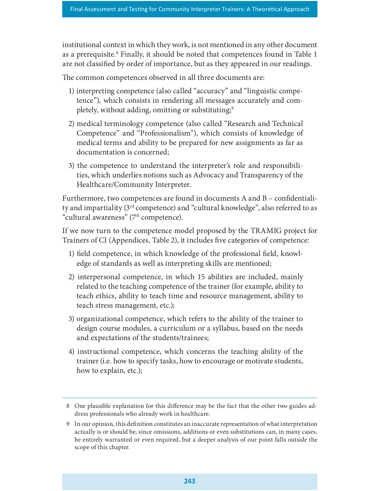institutional context in which they work, is not mentioned in any other document as a prerequisite.<sup>8</sup> Finally, it should be noted that competences found in Table 1 are not classified by order of importance, but as they appeared in our readings.

The common competences observed in all three documents are:

- 1) interpreting competence (also called "accuracy" and "linguistic competence"), which consists in rendering all messages accurately and completely, without adding, omitting or substituting;<sup>9</sup>
- 2) medical terminology competence (also called "Research and Technical Competence" and "Professionalism"), which consists of knowledge of medical terms and ability to be prepared for new assignments as far as documentation is concerned;
- 3) the competence to understand the interpreter's role and responsibilities, which underlies notions such as Advocacy and Transparency of the Healthcare/Community Interpreter.

Furthermore, two competences are found in documents  $A$  and  $B$  – confidentiality and impartiality (3rd competence) and "cultural knowledge", also referred to as "cultural awareness" (7<sup>th</sup> competence).

If we now turn to the competence model proposed by the TRAMIG project for Trainers of CI (Appendices, Table 2), it includes five categories of competence:

- 1) field competence, in which knowledge of the professional field, knowledge of standards as well as interpreting skills are mentioned;
- 2) interpersonal competence, in which 15 abilities are included, mainly related to the teaching competence of the trainer (for example, ability to teach ethics, ability to teach time and resource management, ability to teach stress management, etc.);
- 3) organizational competence, which refers to the ability of the trainer to design course modules, a curriculum or a syllabus, based on the needs and expectations of the students/trainees;
- 4) instructional competence, which concerns the teaching ability of the trainer (i.e. how to specify tasks, how to encourage or motivate students, how to explain, etc.);

<sup>8</sup> One plausible explanation for this difference may be the fact that the other two guides address professionals who already work in healthcare.

<sup>9</sup> In our opinion, this definition constitutes an inaccurate representation of what interpretation actually is or should be, since omissions, additions or even substitutions can, in many cases, be entirely warranted or even required, but a deeper analysis of our point falls outside the scope of this chapter.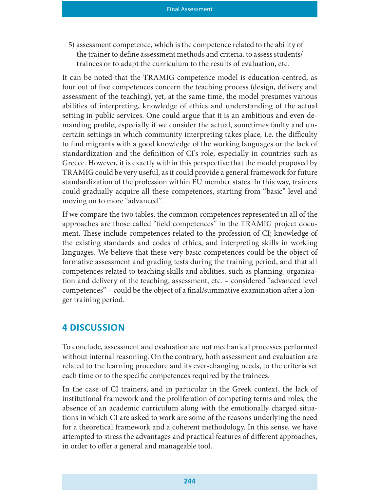5) assessment competence, which is the competence related to the ability of the trainer to define assessment methods and criteria, to assess students/ trainees or to adapt the curriculum to the results of evaluation, etc.

It can be noted that the TRAMIG competence model is education-centred, as four out of five competences concern the teaching process (design, delivery and assessment of the teaching), yet, at the same time, the model presumes various abilities of interpreting, knowledge of ethics and understanding of the actual setting in public services. One could argue that it is an ambitious and even demanding profile, especially if we consider the actual, sometimes faulty and uncertain settings in which community interpreting takes place, i.e. the difficulty to find migrants with a good knowledge of the working languages or the lack of standardization and the definition of CI's role, especially in countries such as Greece. However, it is exactly within this perspective that the model proposed by TRAMIG could be very useful, as it could provide a general framework for future standardization of the profession within EU member states. In this way, trainers could gradually acquire all these competences, starting from "basic" level and moving on to more "advanced".

If we compare the two tables, the common competences represented in all of the approaches are those called "field competences" in the TRAMIG project document. These include competences related to the profession of CI; knowledge of the existing standards and codes of ethics, and interpreting skills in working languages. We believe that these very basic competences could be the object of formative assessment and grading tests during the training period, and that all competences related to teaching skills and abilities, such as planning, organization and delivery of the teaching, assessment, etc. – considered "advanced level competences" – could be the object of a final/summative examination after a longer training period.

#### 4 DISCUSSION

To conclude, assessment and evaluation are not mechanical processes performed without internal reasoning. On the contrary, both assessment and evaluation are related to the learning procedure and its ever-changing needs, to the criteria set each time or to the specific competences required by the trainees.

In the case of CI trainers, and in particular in the Greek context, the lack of institutional framework and the proliferation of competing terms and roles, the absence of an academic curriculum along with the emotionally charged situations in which CI are asked to work are some of the reasons underlying the need for a theoretical framework and a coherent methodology. In this sense, we have attempted to stress the advantages and practical features of different approaches, in order to offer a general and manageable tool.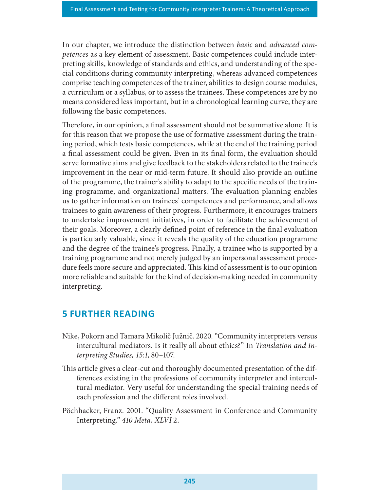In our chapter, we introduce the distinction between basic and advanced competences as a key element of assessment. Basic competences could include interpreting skills, knowledge of standards and ethics, and understanding of the special conditions during community interpreting, whereas advanced competences comprise teaching competences of the trainer, abilities to design course modules, a curriculum or a syllabus, or to assess the trainees. These competences are by no means considered less important, but in a chronological learning curve, they are following the basic competences.

Therefore, in our opinion, a final assessment should not be summative alone. It is for this reason that we propose the use of formative assessment during the training period, which tests basic competences, while at the end of the training period a final assessment could be given. Even in its final form, the evaluation should serve formative aims and give feedback to the stakeholders related to the trainee's improvement in the near or mid-term future. It should also provide an outline of the programme, the trainer's ability to adapt to the specific needs of the training programme, and organizational matters. The evaluation planning enables us to gather information on trainees' competences and performance, and allows trainees to gain awareness of their progress. Furthermore, it encourages trainers to undertake improvement initiatives, in order to facilitate the achievement of their goals. Moreover, a clearly defined point of reference in the final evaluation is particularly valuable, since it reveals the quality of the education programme and the degree of the trainee's progress. Finally, a trainee who is supported by a training programme and not merely judged by an impersonal assessment procedure feels more secure and appreciated. This kind of assessment is to our opinion more reliable and suitable for the kind of decision-making needed in community interpreting.

## **5 FURTHER READING**

- Nike, Pokorn and Tamara Mikolič Južnič. 2020. "Community interpreters versus intercultural mediators. Is it really all about ethics?" In Translation and Interpreting Studies, 15:1, 80–107.
- This article gives a clear-cut and thoroughly documented presentation of the differences existing in the professions of community interpreter and intercultural mediator. Very useful for understanding the special training needs of each profession and the different roles involved.
- Pöchhacker, Franz. 2001. "Quality Assessment in Conference and Community Interpreting." 410 Meta, XLVI 2.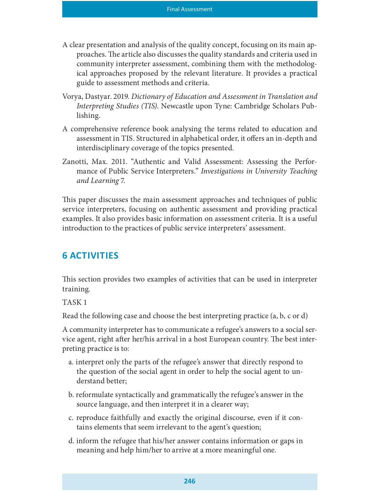- A clear presentation and analysis of the quality concept, focusing on its main approaches. The article also discusses the quality standards and criteria used in community interpreter assessment, combining them with the methodological approaches proposed by the relevant literature. It provides a practical guide to assessment methods and criteria.
- Vorya, Dastyar. 2019. Dictionary of Education and Assessment in Translation and Interpreting Studies (TIS). Newcastle upon Tyne: Cambridge Scholars Publishing.
- A comprehensive reference book analysing the terms related to education and assessment in TIS. Structured in alphabetical order, it offers an in-depth and interdisciplinary coverage of the topics presented.
- Zanotti, Max. 2011. "Authentic and Valid Assessment: Assessing the Performance of Public Service Interpreters." Investigations in University Teaching and Learning 7.

This paper discusses the main assessment approaches and techniques of public service interpreters, focusing on authentic assessment and providing practical examples. It also provides basic information on assessment criteria. It is a useful introduction to the practices of public service interpreters' assessment.

## **6 ACTIVITIES**

This section provides two examples of activities that can be used in interpreter training.

#### TASK 1

Read the following case and choose the best interpreting practice (a, b, c or d)

A community interpreter has to communicate a refugee's answers to a social service agent, right after her/his arrival in a host European country. The best interpreting practice is to:

- a. interpret only the parts of the refugee's answer that directly respond to the question of the social agent in order to help the social agent to understand better;
- b. reformulate syntactically and grammatically the refugee's answer in the source language, and then interpret it in a clearer way;
- c. reproduce faithfully and exactly the original discourse, even if it contains elements that seem irrelevant to the agent's question;
- d. inform the refugee that his/her answer contains information or gaps in meaning and help him/her to arrive at a more meaningful one.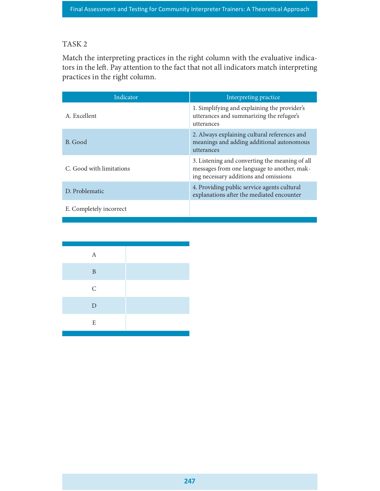### TASK 2

| TASK <sub>2</sub>              |                                                                                                                                                                            |
|--------------------------------|----------------------------------------------------------------------------------------------------------------------------------------------------------------------------|
| practices in the right column. | Match the interpreting practices in the right column with the evaluative indica-<br>tors in the left. Pay attention to the fact that not all indicators match interpreting |
| Indicator                      | Interpreting practice                                                                                                                                                      |
| A. Excellent                   | 1. Simplifying and explaining the provider's<br>utterances and summarizing the refugee's<br>utterances                                                                     |
| B. Good                        | 2. Always explaining cultural references and<br>meanings and adding additional autonomous<br>utterances                                                                    |
| C. Good with limitations       | 3. Listening and converting the meaning of all<br>messages from one language to another, mak-<br>ing necessary additions and omissions                                     |
| D. Problematic                 | 4. Providing public service agents cultural<br>explanations after the mediated encounter                                                                                   |
| E. Completely incorrect        |                                                                                                                                                                            |

| $\boldsymbol{A}$<br>$\, {\bf B}$<br>$\mathsf C$<br>${\rm D}$<br>$\mathbf E$ |  |
|-----------------------------------------------------------------------------|--|
|                                                                             |  |
|                                                                             |  |
|                                                                             |  |
|                                                                             |  |
|                                                                             |  |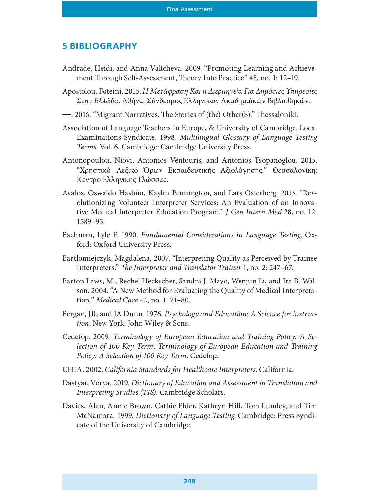#### 5 BIBLIOGRAPHY

- Andrade, Heidi, and Anna Valtcheva. 2009. "Promoting Learning and Achievement Through Self-Assessment, Theory Into Practice" 48, no. 1: 12–19.
- Apostolou, Foteini. 2015. Η Μετάφραση Και η Διερμηνεία Για Δημόσιες Υπηρεσίες Στην Ελλάδα. Αθήνα: Σύνδεσμος Ελληνικών Ακαδημαϊκών Βιβλιοθηκών.
- 2016. "Migrant Narratives. The Stories of (the) Other(S)." Thessaloniki.
- Association of Language Teachers in Europe, & University of Cambridge. Local Examinations Syndicate. 1998. Multilingual Glossary of Language Testing Terms. Vol. 6. Cambridge: Cambridge University Press.
- Antonopoulou, Niovi, Antonios Ventouris, and Antonios Tsopanoglou. 2015. "Χρηστικό Λεξικό Όρων Εκπαιδευτικής Αξιολόγησης." Θεσσαλονίκη: Κέντρο Ελληνικής Γλώσσας.
- Avalos, Oswaldo Hasbún, Kaylin Pennington, and Lars Osterberg. 2013. "Revolutionizing Volunteer Interpreter Services: An Evaluation of an Innovative Medical Interpreter Education Program." J Gen Intern Med 28, no. 12: 1589–95.
- Bachman, Lyle F. 1990. Fundamental Considerations in Language Testing. Oxford: Oxford University Press.
- Bartłomiejczyk, Magdalena. 2007. "Interpreting Quality as Perceived by Trainee Interpreters." The Interpreter and Translator Trainer 1, no. 2: 247–67.
- Barton Laws, M., Rechel Heckscher, Sandra J. Mayo, Wenjun Li, and Ira B. Wilson. 2004. "A New Method for Evaluating the Quality of Medical Interpretation." Medical Care 42, no. 1: 71–80.
- Bergan, JR, and JA Dunn. 1976. Psychology and Education: A Science for Instruction. New York: John Wiley & Sons.
- Cedefop. 2009. Terminology of European Education and Training Policy: A Selection of 100 Key Term. Terminology of European Education and Training Policy: A Selection of 100 Key Term. Cedefop.
- CHIA. 2002. California Standards for Healthcare Interpreters. California.
- Dastyar, Vorya. 2019. Dictionary of Education and Assessment in Translation and Interpreting Studies (TIS). Cambridge Scholars.
- Davies, Alan, Annie Brown, Cathie Elder, Kathryn Hill, Tom Lumley, and Tim McNamara. 1999. Dictionary of Language Testing. Cambridge: Press Syndicate of the University of Cambridge.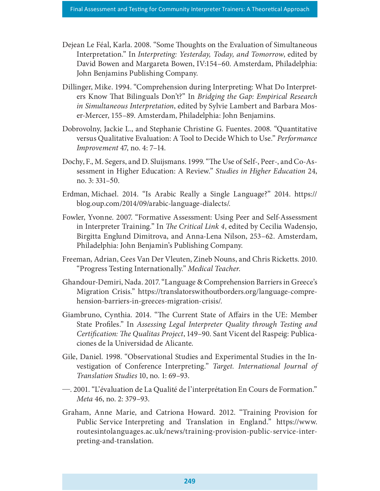- Dejean Le Féal, Karla. 2008. "Some Thoughts on the Evaluation of Simultaneous Interpretation." In Interpreting: Yesterday, Today, and Tomorrow, edited by David Bowen and Margareta Bowen, IV:154–60. Amsterdam, Philadelphia: John Benjamins Publishing Company.
- Dillinger, Mike. 1994. "Comprehension during Interpreting: What Do Interpreters Know That Bilinguals Don't?" In Bridging the Gap: Empirical Research in Simultaneous Interpretation, edited by Sylvie Lambert and Barbara Moser-Mercer, 155–89. Amsterdam, Philadelphia: John Benjamins.
- Dobrovolny, Jackie L., and Stephanie Christine G. Fuentes. 2008. "Quantitative versus Qualitative Evaluation: A Tool to Decide Which to Use." Performance Improvement 47, no. 4: 7–14.
- Dochy, F., M. Segers, and D. Sluijsmans. 1999. "The Use of Self-, Peer-, and Co-Assessment in Higher Education: A Review." Studies in Higher Education 24, no. 3: 331–
- Erdman, Michael. 2014. "Is Arabic Really a Single Language?" 2014. https:// blog.oup.com/2014/09/arabic-language-dialects/.
- Fowler, Yvonne. 2007. "Formative Assessment: Using Peer and Self-Assessment in Interpreter Training." In *The Critical Link 4*, edited by Cecilia Wadensjo, Birgitta Englund Dimitrova, and Anna-Lena Nilson, 253–62. Amsterdam, Philadelphia: John Benjamin's Publishing Company.
- Freeman, Adrian, Cees Van Der Vleuten, Zineb Nouns, and Chris Ricketts. 2010. "Progress Testing Internationally." Medical Teacher. Ghandour-Demiri, Nada. 2017. "Language & Comprehension Barriers in Greece's
- Migration Crisis." https://translatorswithoutborders.org/language-comprehension-barriers-in-greeces-migration-crisis/.
- Giambruno, Cynthia. 2014. "The Current State of Affairs in the UE: Member State Profiles." In Assessing Legal Interpreter Quality through Testing and Certification: The Qualitas Project, 149-90. Sant Vicent del Raspeig: Publicaciones de la Universidad de Alicante.
- Gile, Daniel. 1998. "Observational Studies and Experimental Studies in the Investigation of Conference Interpreting." Target. International Journal of Translation Studies 10, no. 1: 69–93.
- . 2001. "L'évaluation de La Qualité de l'interprétation En Cours de Formation." Meta 46, no. 2: 379–93.
- Graham, Anne Marie, and Catriona Howard. 2012. "Training Provision for Public Service Interpreting and Translation in England." https://www. routesintolanguages.ac.uk/news/training-provision-public-service-interpreting-and-translation.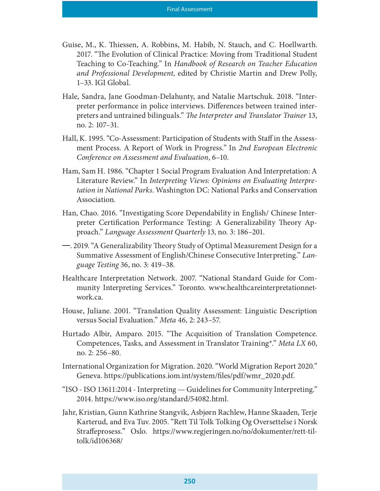- Guise, M., K. Thiessen, A. Robbins, M. Habib, N. Stauch, and C. Hoellwarth. 2017. "The Evolution of Clinical Practice: Moving from Traditional Student Teaching to Co-Teaching." In Handbook of Research on Teacher Education and Professional Development, edited by Christie Martin and Drew Polly, 1–33. IGI Global.
- Hale, Sandra, Jane Goodman-Delahunty, and Natalie Martschuk. 2018. "Interpreter performance in police interviews. Differences between trained interpreters and untrained bilinguals." The Interpreter and Translator Trainer 13, no. 2: 107–31.
- Hall, K. 1995. "Co-Assessment: Participation of Students with Staff in the Assessment Process. A Report of Work in Progress." In 2nd European Electronic Conference on Assessment and Evaluation, 6–10.
- Ham, Sam H. 1986. "Chapter 1 Social Program Evaluation And Interpretation: A Literature Review." In Interpreting Views: Opinions on Evaluating Interpretation in National Parks. Washington DC: National Parks and Conservation Association.
- Han, Chao. 2016. "Investigating Score Dependability in English/ Chinese Interpreter Certification Performance Testing: A Generalizability Theory Approach." Language Assessment Quarterly 13, no. 3: 186–201.
- 2019. "A Generalizability Theory Study of Optimal Measurement Design for a Summative Assessment of English/Chinese Consecutive Interpreting." Language Testing 36, no. 3: 419–38.
- Healthcare Interpretation Network. 2007. "National Standard Guide for Community Interpreting Services." Toronto. www.healthcareinterpretationnetwork.ca.
- House, Juliane. 2001. "Translation Quality Assessment: Linguistic Description versus Social Evaluation." Meta 46, 2: 243–57.
- Hurtado Albir, Amparo. 2015. "The Acquisition of Translation Competence. Competences, Tasks, and Assessment in Translator Training\*." Meta LX 60, no. 2: 256–80.
- International Organization for Migration. 2020. "World Migration Report 2020." Geneva. https://publications.iom.int/system/files/pdf/wmr\_2020.pdf.
- "ISO ISO 13611:2014 Interpreting Guidelines for Community Interpreting." 2014. https://www.iso.org/standard/54082.html.
- Jahr, Kristian, Gunn Kathrine Stangvik, Asbjørn Rachlew, Hanne Skaaden, Terje Karterud, and Eva Tuv. 2005. "Rett Til Tolk Tolking Og Oversettelse i Norsk Straffeprosess." Oslo. https://www.regjeringen.no/no/dokumenter/rett-tiltolk/id106368/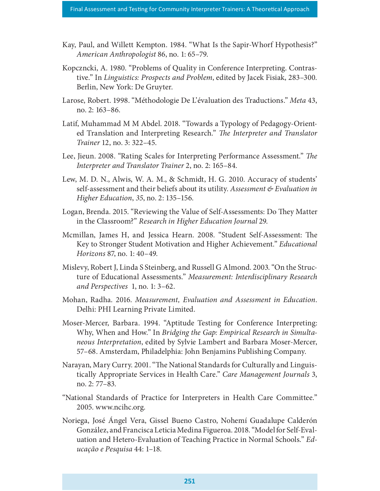- Kay, Paul, and Willett Kempton. 1984. "What Is the Sapir-Whorf Hypothesis?" American Anthropologist 86, no. 1: 65–79.
- Kopczncki, A. 1980. "Problems of Quality in Conference Interpreting. Contrastive." In Linguistics: Prospects and Problem, edited by Jacek Fisiak, 283–300. Berlin, New York: De Gruyter.
- Larose, Robert. 1998. "Méthodologie De L'évaluation des Traductions." Meta 43, no. 2: 163–86.
- Latif, Muhammad M M Abdel. 2018. "Towards a Typology of Pedagogy-Oriented Translation and Interpreting Research." The Interpreter and Translator Trainer 12, no. 3: 322–45.
- Lee, Jieun. 2008. "Rating Scales for Interpreting Performance Assessment." The Interpreter and Translator Trainer 2, no. 2: 165–84.
- Lew, M. D. N., Alwis, W. A. M., & Schmidt, H. G. 2010. Accuracy of students' self-assessment and their beliefs about its utility. Assessment & Evaluation in Higher Education, 35, no. 2: 135–156.
- Logan, Brenda. 2015. "Reviewing the Value of Self-Assessments: Do They Matter in the Classroom?" Research in Higher Education Journal 29.
- Mcmillan, James H, and Jessica Hearn. 2008. "Student Self-Assessment: The Key to Stronger Student Motivation and Higher Achievement." Educational Horizons 87, no. 1: 40–49.
- Mislevy, Robert J, Linda S Steinberg, and Russell G Almond. 2003. "On the Structure of Educational Assessments." Measurement: Interdisciplinary Research and Perspectives 1, no. 1: 3–62.
- Mohan, Radha. 2016. Measurement, Evaluation and Assessment in Education. Delhi: PHI Learning Private Limited.
- Moser-Mercer, Barbara. 1994. "Aptitude Testing for Conference Interpreting: Why, When and How." In Bridging the Gap: Empirical Research in Simultaneous Interpretation, edited by Sylvie Lambert and Barbara Moser-Mercer, 57–68. Amsterdam, Philadelphia: John Benjamins Publishing Company.
- Narayan, Mary Curry. 2001. "The National Standards for Culturally and Linguistically Appropriate Services in Health Care." Care Management Journals 3, no. 2: 77–83.
- "National Standards of Practice for Interpreters in Health Care Committee." 2005. www.ncihc.org.
- Noriega, José Ángel Vera, Gissel Bueno Castro, Nohemí Guadalupe Calderón González, and Francisca Leticia Medina Figueroa. 2018. "Model for Self-Evaluation and Hetero-Evaluation of Teaching Practice in Normal Schools." Educação e Pesquisa 44: 1–18.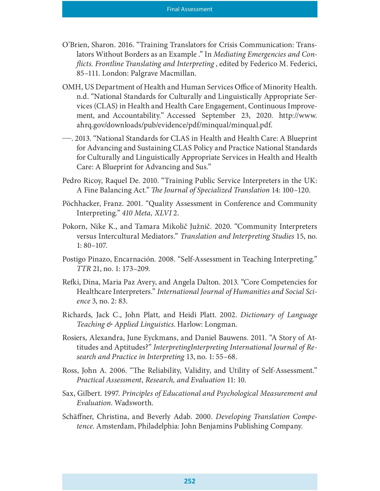- O'Brien, Sharon. 2016. "Training Translators for Crisis Communication: Translators Without Borders as an Example ." In Mediating Emergencies and Con flicts. Frontline Translating and Interpreting, edited by Federico M. Federici, 85–111. London: Palgrave Macmillan.
- OMH, US Department of Health and Human Services Office of Minority Health. n.d. "National Standards for Culturally and Linguistically Appropriate Services (CLAS) in Health and Health Care Engagement, Continuous Improveent, sharon. 2010. Training Translators for Crisis Communication. Translators Without Borders as an Example ." In *Mediating Emergencies and Conflicts. Frontline Translating and Interpreting*, edited by Federico M. Federic ahrq.gov/downloads/pub/evidence/pdf/minqual/minqual.pdf.
- . 2013. "National Standards for CLAS in Health and Health Care: A Blueprint for Advancing and Sustaining CLAS Policy and Practice National Standards for Culturally and Linguistically Appropriate Services in Health and Health Care: A Blueprint for Advancing and Sus."
- Pedro Ricoy, Raquel De. 2010. "Training Public Service Interpreters in the UK: A Fine Balancing Act." The Journal of Specialized Translation 14: 100-120.
- Pöchhacker, Franz. 2001. "Quality Assessment in Conference and Community Interpreting." 410 Meta, XLVI 2.
- Pokorn, Nike K., and Tamara Mikolič Južnič. 2020. "Community Interpreters versus Intercultural Mediators." Translation and Interpreting Studies 15, no. 1: 80–107.
- Postigo Pinazo, Encarnación. 2008. "Self-Assessment in Teaching Interpreting." TTR 21, no. 1: 173–209.
- Re£i, Dina, Maria Paz Avery, and Angela Dalton. 2013. "Core Competencies for Healthcare Interpreters." International Journal of Humanities and Social Science 3, no. 2: 83.
- Richards, Jack C., John Platt, and Heidi Platt. 2002. Dictionary of Language Teaching & Applied Linguistics. Harlow: Longman.
- Rosiers, Alexandra, June Eyckmans, and Daniel Bauwens. 2011. "A Story of Attitudes and Aptitudes?" InterpretingInterpreting International Journal of Research and Practice in Interpreting 13, no. 1: 55–68.
- Ross, John A. 2006. "The Reliability, Validity, and Utility of Self-Assessment." Practical Assessment, Research, and Evaluation 11: 10.
- Sax, Gilbert. 1997. Principles of Educational and Psychological Measurement and Evaluation. Wadsworth.
- Schäffner, Christina, and Beverly Adab. 2000. Developing Translation Competence. Amsterdam, Philadelphia: John Benjamins Publishing Company.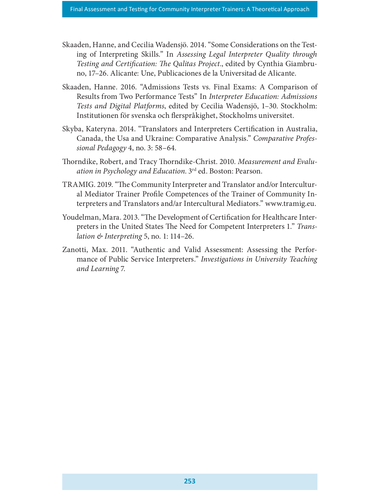- Skaaden, Hanne, and Cecilia Wadensjö. 2014. "Some Considerations on the Testing of Interpreting Skills." In Assessing Legal Interpreter Quality through Testing and Certification: The Qalitas Project., edited by Cynthia Giambruno, 17–26. Alicante: Une, Publicaciones de la Universitad de Alicante.
- Skaaden, Hanne. 2016. "Admissions Tests vs. Final Exams: A Comparison of Results from Two Performance Tests" In Interpreter Education: Admissions Tests and Digital Platforms, edited by Cecilia Wadensjö, 1–30. Stockholm: Institutionen för svenska och flerspråkighet, Stockholms universitet.
- Skyba, Kateryna. 2014. "Translators and Interpreters Certification in Australia, Canada, the Usа and Ukraine: Comparative Analysis." Comparative Professional Pedagogy 4, no. 3: 58–64.
- Thorndike, Robert, and Tracy Thorndike-Christ. 2010. Measurement and Evaluation in Psychology and Education. 3rd ed. Boston: Pearson.
- TRAMIG. 2019. "The Community Interpreter and Translator and/or Intercultural Mediator Trainer Profile Competences of the Trainer of Community Interpreters and Translators and/ar Intercultural Mediators." www.tramig.eu.
- Youdelman, Mara. 2013. "The Development of Certification for Healthcare Interpreters in the United States The Need for Competent Interpreters 1." Translation  $\&$  Interpreting 5, no. 1: 114–26.
- Zanotti, Max. 2011. "Authentic and Valid Assessment: Assessing the Performance of Public Service Interpreters." Investigations in University Teaching and Learning 7.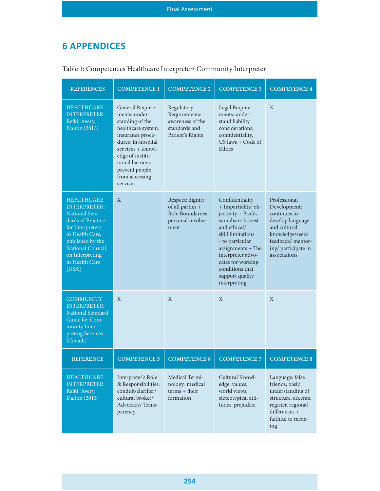## 6 APPENDICES

| <b>6 APPENDICES</b>                                                                                                                                                                                                        |                                                                                                                                                                                                                                   |                                                                                         |                                                                                                                                                                                                                                                                   |                                                                                                                                                                |
|----------------------------------------------------------------------------------------------------------------------------------------------------------------------------------------------------------------------------|-----------------------------------------------------------------------------------------------------------------------------------------------------------------------------------------------------------------------------------|-----------------------------------------------------------------------------------------|-------------------------------------------------------------------------------------------------------------------------------------------------------------------------------------------------------------------------------------------------------------------|----------------------------------------------------------------------------------------------------------------------------------------------------------------|
| Table 1: Competences Healthcare Interpreter/ Community Interpreter                                                                                                                                                         |                                                                                                                                                                                                                                   |                                                                                         |                                                                                                                                                                                                                                                                   |                                                                                                                                                                |
| <b>REFERENCES</b>                                                                                                                                                                                                          | <b>COMPETENCE 1</b>                                                                                                                                                                                                               | <b>COMPETENCE 2</b>                                                                     | <b>COMPETENCE 3</b>                                                                                                                                                                                                                                               | <b>COMPETENCE 4</b>                                                                                                                                            |
| <b>HEALTHCARE</b><br><b>INTERPRETER:</b><br>Refki, Avery,<br>Dalton (2013)                                                                                                                                                 | General Require-<br>ments: under-<br>standing of the<br>healthcare system:<br>insurance proce-<br>dures, in-hospital<br>services + knowl-<br>edge of institu-<br>tional barriers:<br>prevent people<br>from accessing<br>services | Regulatory<br>Requirements:<br>awareness of the<br>standards and<br>Patient's Rights    | Legal Require-<br>ments: under-<br>stand liability<br>considerations.<br>confidentiality,<br>US laws $+$ Code of<br>Ethics                                                                                                                                        | $\mathbf{X}$                                                                                                                                                   |
| <b>HEALTHCARE</b><br><b>INTERPRETER:</b><br><b>National Stan-</b><br>dards of Practice<br>for Interpreters<br>in Health Care,<br>published by the<br><b>National Council</b><br>on Interpreting<br>in Health Care<br>[USA] | $\mathbf{X}$                                                                                                                                                                                                                      | Respect: dignity<br>of all parties $+$<br>Role Boundaries:<br>personal involve-<br>ment | Confidentiality<br>+ Impartiality: ob-<br>jectivity + Profes-<br>sionalism: honest<br>and ethical/<br>skill limitations<br>- to particular<br>assignments $+$ The<br>interpreter advo-<br>cates for working<br>conditions that<br>support quality<br>interpreting | Professional<br>Development:<br>continues to<br>develop language<br>and cultural<br>knowledge/seeks<br>feedback/mentor-<br>ing/ participate in<br>associations |
| <b>COMMUNITY</b><br><b>INTERPRETER:</b><br>National Standard<br>Guide for Com-<br>munity Inter-<br>preting Services<br>[Canada]                                                                                            | $\mathbf X$                                                                                                                                                                                                                       | X                                                                                       | Χ                                                                                                                                                                                                                                                                 | X                                                                                                                                                              |
| <b>REFERENCE</b>                                                                                                                                                                                                           | <b>COMPETENCE 5</b>                                                                                                                                                                                                               | <b>COMPETENCE 6</b>                                                                     | <b>COMPETENCE 7</b>                                                                                                                                                                                                                                               | <b>COMPETENCE 8</b>                                                                                                                                            |
| <b>HEALTHCARE</b><br><b>INTERPRETER:</b><br>Refki, Avery,<br>Dalton (2013)                                                                                                                                                 | Interpreter's Role<br>& Responsibilities:<br>conduit/clarifier/<br>cultural broker/<br>Advocacy/Trans-<br>parency                                                                                                                 | Medical Termi-<br>nology: medical<br>$terms + their$<br>formation                       | Cultural Knowl-<br>edge: values,<br>world views,<br>stereotypical atti-<br>tudes, prejudice                                                                                                                                                                       | Language: false<br>friends, basic<br>understanding of<br>structure, accents,<br>register, regional<br>differences +<br>faithful to mean-<br>ing                |

#### Table 1: Competences Healthcare Interpreter/ Community Interpreter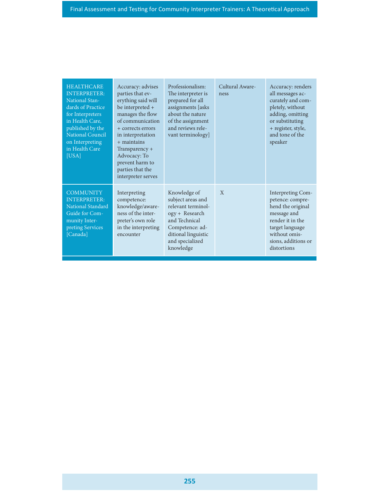| <b>HEALTHCARE</b><br><b>INTERPRETER:</b><br><b>National Stan-</b><br>dards of Practice<br>for Interpreters<br>in Health Care,<br>published by the<br>National Council<br>on Interpreting<br>in Health Care<br>[USA] | Accuracy: advises<br>parties that ev-<br>erything said will<br>be interpreted +<br>manages the flow<br>of communication<br>+ corrects errors<br>in interpretation<br>$+$ maintains<br>Transparency +<br>Advocacy: To<br>prevent harm to<br>parties that the<br>interpreter serves | Professionalism:<br>The interpreter is<br>prepared for all<br>assignments [asks<br>about the nature<br>of the assignment<br>and reviews rele-<br>vant terminology]   | Cultural Aware-<br>ness | Accuracy: renders<br>all messages ac-<br>curately and com-<br>pletely, without<br>adding, omitting<br>or substituting<br>+ register, style,<br>and tone of the<br>speaker |  |
|---------------------------------------------------------------------------------------------------------------------------------------------------------------------------------------------------------------------|-----------------------------------------------------------------------------------------------------------------------------------------------------------------------------------------------------------------------------------------------------------------------------------|----------------------------------------------------------------------------------------------------------------------------------------------------------------------|-------------------------|---------------------------------------------------------------------------------------------------------------------------------------------------------------------------|--|
| <b>COMMUNITY</b><br><b>INTERPRETER:</b><br>National Standard<br>Guide for Com-<br>munity Inter-<br>preting Services<br>[Canada]                                                                                     | Interpreting<br>competence:<br>knowledge/aware-<br>ness of the inter-<br>preter's own role<br>in the interpreting<br>encounter                                                                                                                                                    | Knowledge of<br>subject areas and<br>relevant terminol-<br>ogy + Research<br>and Technical<br>Competence: ad-<br>ditional linguistic<br>and specialized<br>knowledge | $\mathbf{X}$            | Interpreting Com-<br>petence: compre-<br>hend the original<br>message and<br>render it in the<br>target language<br>without omis-<br>sions, additions or<br>distortions   |  |